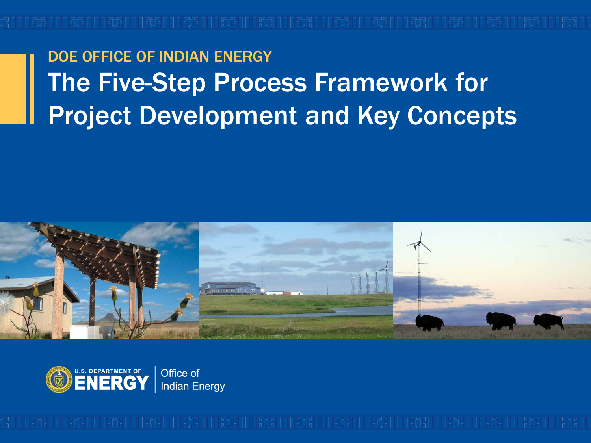### DOE OFFICE OF INDIAN ENERGY The Five-Step Process Framework for Project Development and Key Concepts



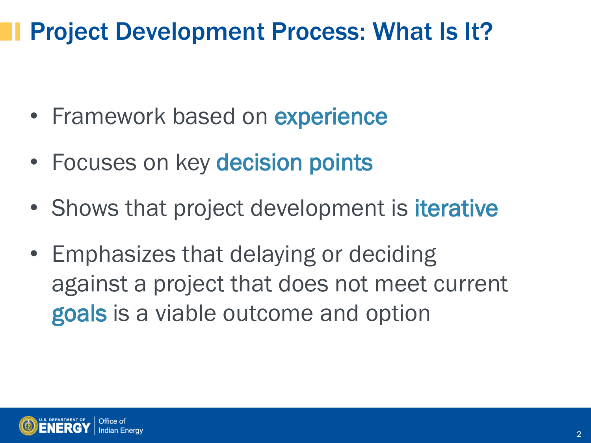### Project Development Process: What Is It?

- Framework based on **experience**
- Focuses on key decision points
- Shows that project development is **iterative**
- Emphasizes that delaying or deciding against a project that does not meet current goals is a viable outcome and option

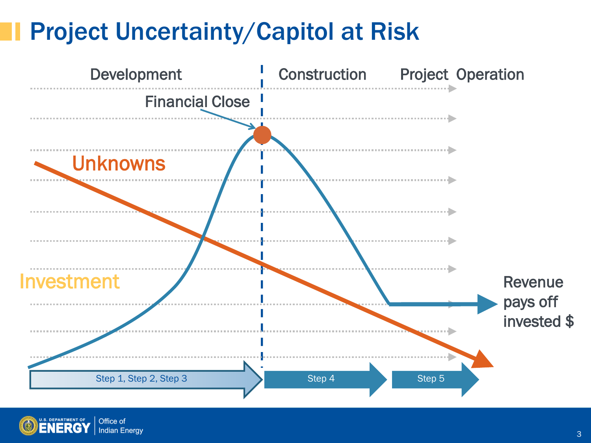## Project Uncertainty/Capitol at Risk



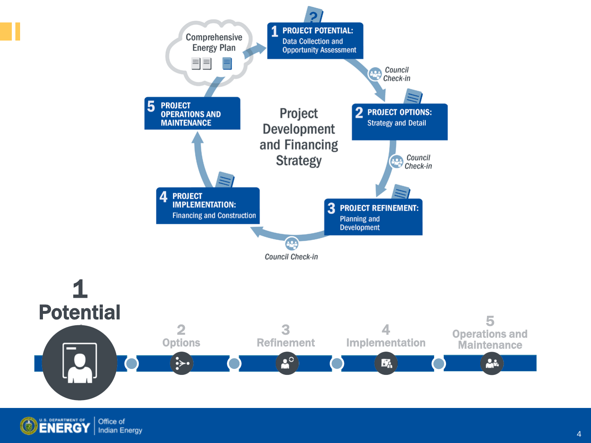

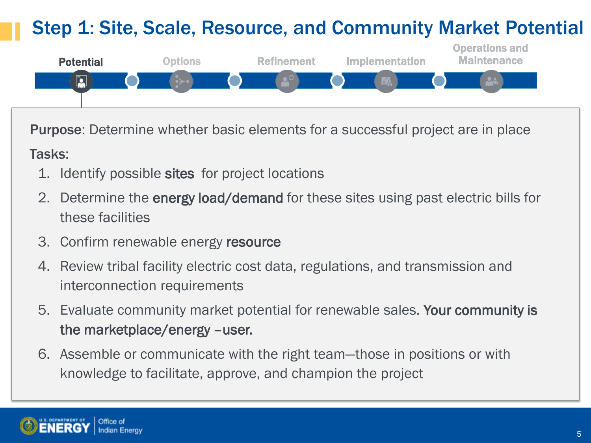### Step 1: Site, Scale, Resource, and Community Market Potential



Purpose: Determine whether basic elements for a successful project are in place

#### Tasks:

- 1. Identify possible sites for project locations
- 2. Determine the energy load/demand for these sites using past electric bills for these facilities
- 3. Confirm renewable energy resource
- 4. Review tribal facility electric cost data, regulations, and transmission and interconnection requirements
- 5. Evaluate community market potential for renewable sales. Your community is the marketplace/energy –user.
- 6. Assemble or communicate with the right team—those in positions or with knowledge to facilitate, approve, and champion the project

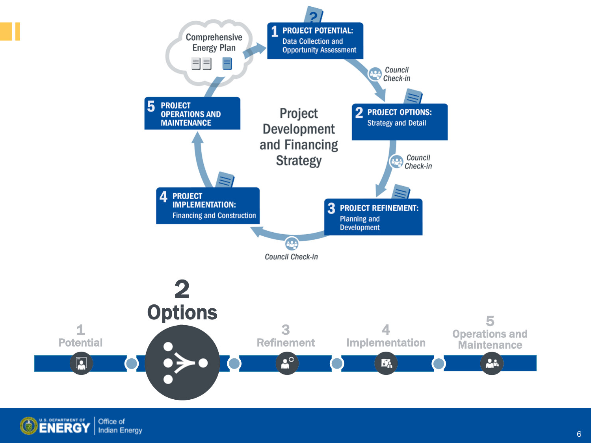

**ENERGY** Office of **Indian Energy**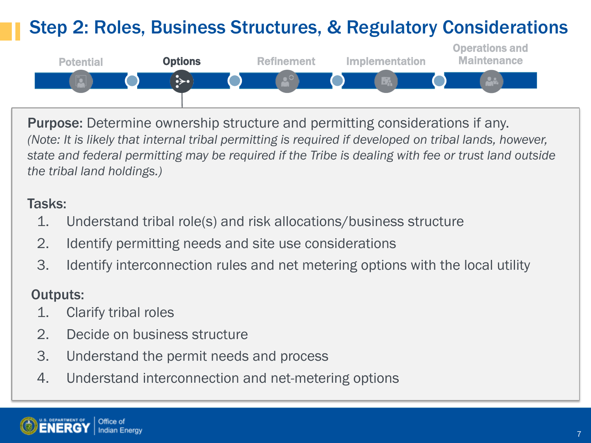### Step 2: Roles, Business Structures, & Regulatory Considerations



Purpose: Determine ownership structure and permitting considerations if any. *(Note: It is likely that internal tribal permitting is required if developed on tribal lands, however, state and federal permitting may be required if the Tribe is dealing with fee or trust land outside the tribal land holdings.)*

#### Tasks:

- 1. Understand tribal role(s) and risk allocations/business structure
- 2. Identify permitting needs and site use considerations
- 3. Identify interconnection rules and net metering options with the local utility

### Outputs:

- 1. Clarify tribal roles
- 2. Decide on business structure
- 3. Understand the permit needs and process
- 4. Understand interconnection and net-metering options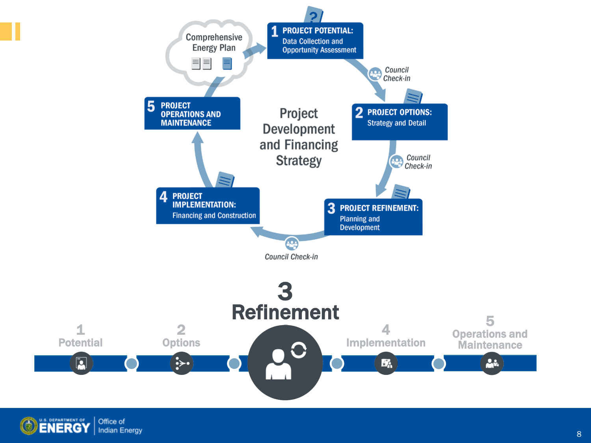

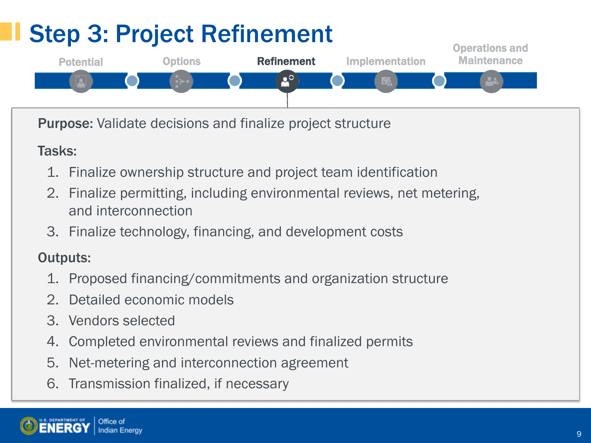# Step 3: Project Refinement



Purpose: Validate decisions and finalize project structure

### Tasks:

- 1. Finalize ownership structure and project team identification
- 2. Finalize permitting, including environmental reviews, net metering, and interconnection
- 3. Finalize technology, financing, and development costs

### Outputs:

- 1. Proposed financing/commitments and organization structure
- 2. Detailed economic models
- 3. Vendors selected
- 4. Completed environmental reviews and finalized permits
- 5. Net-metering and interconnection agreement
- 6. Transmission finalized, if necessary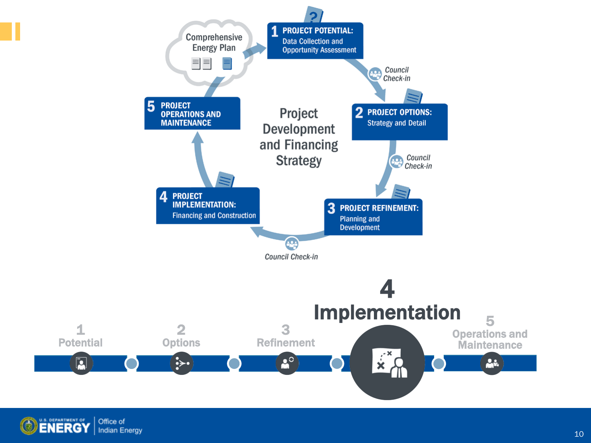

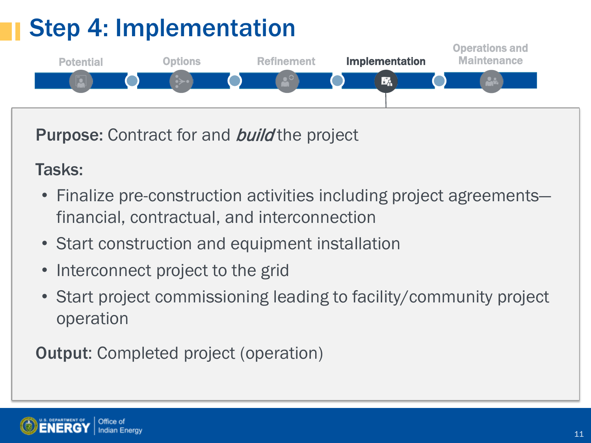# Step 4: Implementation



Purpose: Contract for and **build** the project

### Tasks:

- Finalize pre-construction activities including project agreements financial, contractual, and interconnection
- Start construction and equipment installation
- Interconnect project to the grid
- Start project commissioning leading to facility/community project operation

Output: Completed project (operation)

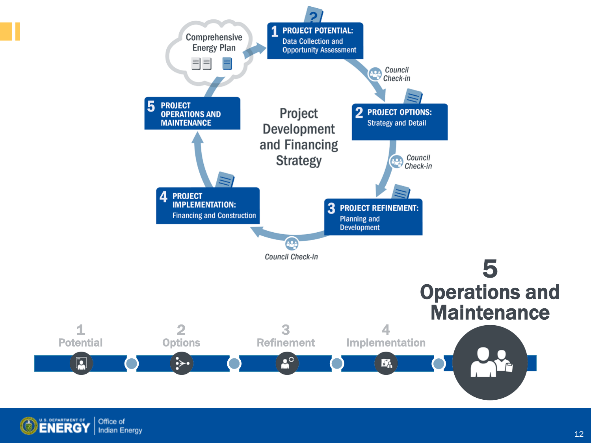

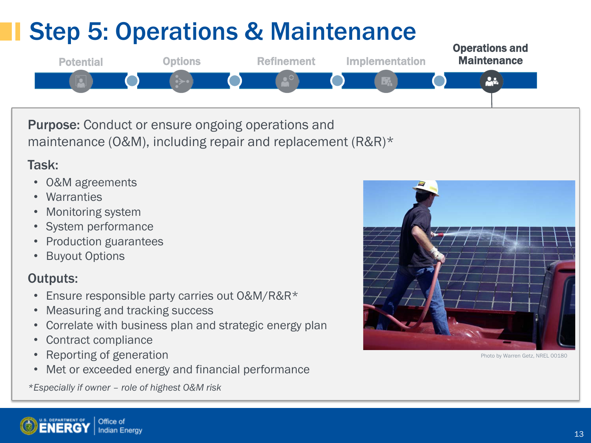### Operations and Step 5: Operations & Maintenance



Purpose: Conduct or ensure ongoing operations and maintenance (O&M), including repair and replacement (R&R)\*

#### Task:

- O&M agreements
- **Warranties**
- Monitoring system
- System performance
- Production guarantees
- **Buyout Options**

#### Outputs:

- Ensure responsible party carries out O&M/R&R\*
- Measuring and tracking success
- Correlate with business plan and strategic energy plan
- Contract compliance
- Reporting of generation
- Met or exceeded energy and financial performance

*\*Especially if owner – role of highest O&M risk*



Photo by Warren Getz, NREL 00180

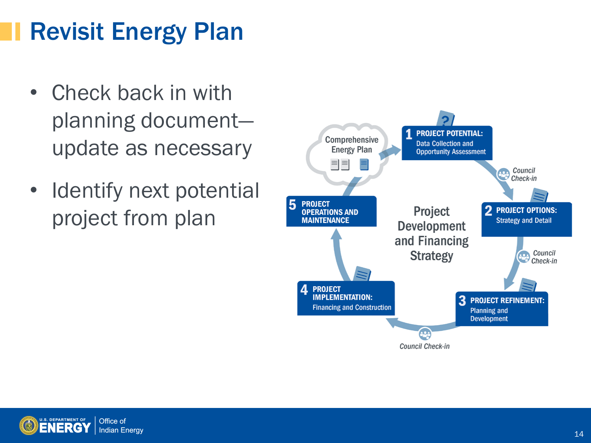# Revisit Energy Plan

- Check back in with planning document update as necessary
- Identify next potential project from plan



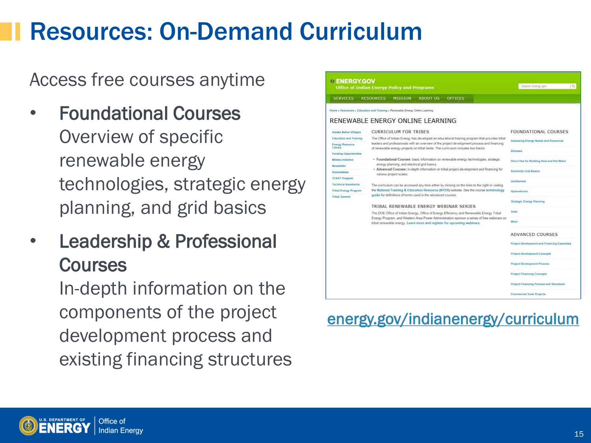## Resources: On-Demand Curriculum

Access free courses anytime

- Foundational Courses Overview of specific renewable energy technologies, strategic energy planning, and grid basics
- **Leadership & Professional Courses**

In-depth information on the components of the project development process and existing financing structures

| <b>Office of Indian Energy Policy and Programs</b>  |                                                                              |                                                                                                                                                                                                                                                                   |                                            |                | Search Energy.gov                            |
|-----------------------------------------------------|------------------------------------------------------------------------------|-------------------------------------------------------------------------------------------------------------------------------------------------------------------------------------------------------------------------------------------------------------------|--------------------------------------------|----------------|----------------------------------------------|
| <b>SERVICES</b>                                     | <b>RESOURCES</b>                                                             | <b>MISSION</b>                                                                                                                                                                                                                                                    | ABOUT US                                   | <b>OFFICES</b> |                                              |
|                                                     | Home > Resources > Education and Training > Renewable Energy Online Learning |                                                                                                                                                                                                                                                                   |                                            |                |                                              |
|                                                     | RENEWABLE ENERGY ONLINE LEARNING                                             |                                                                                                                                                                                                                                                                   |                                            |                |                                              |
| Alaska Native Villages                              |                                                                              | <b>CURRICULUM FOR TRIBES</b>                                                                                                                                                                                                                                      | <b>FOUNDATIONAL COURSES</b>                |                |                                              |
| <b>Education and Training</b>                       |                                                                              | The Office of Indian Energy has developed an educational training program that provides tribal                                                                                                                                                                    | Assessing Energy Needs and Resources       |                |                                              |
| <b>Energy Resource</b><br>Library                   |                                                                              | leaders and professionals with an overview of the project development process and financing<br>of renewable energy projects on tribal lands. The curriculum includes two tracks:                                                                                  |                                            |                |                                              |
| <b>Funding Opportunities</b>                        |                                                                              |                                                                                                                                                                                                                                                                   | <b>Biomass</b>                             |                |                                              |
| Military Initiative                                 |                                                                              | · Foundational Courses: basic information on renewable energy technologies, strategic                                                                                                                                                                             | Direct Use for Building Heat and Hot Water |                |                                              |
| Newsletter                                          |                                                                              | energy planning, and electrical grid basics.<br>- Advanced Courses: in-depth information on tribal project development and financing for                                                                                                                          |                                            |                |                                              |
| Roundtables                                         |                                                                              | various project scales.                                                                                                                                                                                                                                           | <b>Electricity Grid Basics</b>             |                |                                              |
| <b>START Program</b><br><b>Technical Assistance</b> |                                                                              |                                                                                                                                                                                                                                                                   | Geothermal                                 |                |                                              |
| <b>Tribal Energy Program</b>                        |                                                                              | The curriculum can be accessed any time either by clicking on the links to the right or visiting<br>the National Training & Education Resource (NTER) website. See the course terminology                                                                         | Hydroelectric                              |                |                                              |
| <b>Tribal Summit</b>                                |                                                                              | quide for definitions of terms used in the advanced courses.                                                                                                                                                                                                      |                                            |                |                                              |
|                                                     |                                                                              |                                                                                                                                                                                                                                                                   | <b>Strategic Energy Planning</b>           |                |                                              |
|                                                     |                                                                              | TRIBAL RENEWABLE ENERGY WEBINAR SERIES                                                                                                                                                                                                                            | Solar                                      |                |                                              |
|                                                     |                                                                              | The DOE Office of Indian Energy, Office of Energy Efficiency and Renewable Energy Tribal<br>Energy Program, and Western Area Power Administration sponsor a series of free webinars on<br>tribal renewable energy. Learn more and register for upcoming webinars. |                                            |                | Wind                                         |
|                                                     |                                                                              |                                                                                                                                                                                                                                                                   |                                            |                | <b>ADVANCED COURSES</b>                      |
|                                                     |                                                                              |                                                                                                                                                                                                                                                                   |                                            |                | Project Development and Financing Essentials |
|                                                     |                                                                              |                                                                                                                                                                                                                                                                   |                                            |                | <b>Project Development Concepts</b>          |
|                                                     |                                                                              |                                                                                                                                                                                                                                                                   |                                            |                | <b>Project Development Process</b>           |
|                                                     |                                                                              |                                                                                                                                                                                                                                                                   |                                            |                | <b>Project Financing Concepts</b>            |
|                                                     |                                                                              |                                                                                                                                                                                                                                                                   |                                            |                | Project Financing Process and Structures     |
|                                                     |                                                                              |                                                                                                                                                                                                                                                                   |                                            |                |                                              |

### [energy.gov/indianenergy/curriculum](http://www.energy.gov/indianenergy/curriculum)

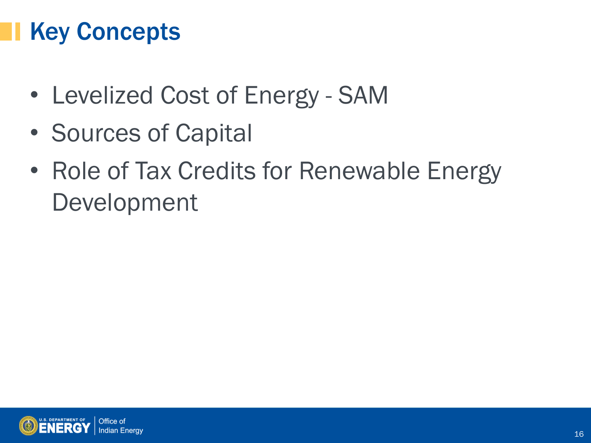## Key Concepts

- Levelized Cost of Energy SAM
- Sources of Capital
- Role of Tax Credits for Renewable Energy Development

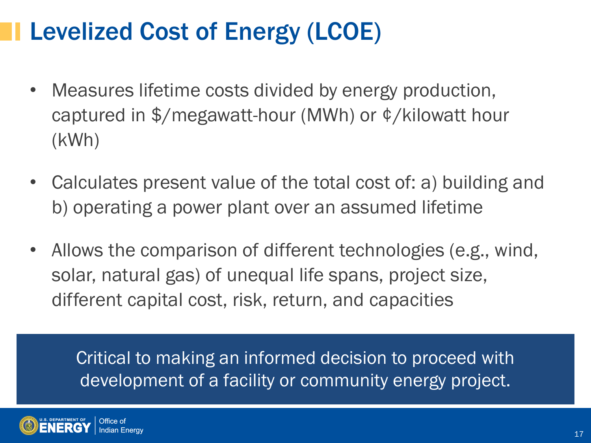## Levelized Cost of Energy (LCOE)

- Measures lifetime costs divided by energy production, captured in \$/megawatt-hour (MWh) or ¢/kilowatt hour (kWh)
- Calculates present value of the total cost of: a) building and b) operating a power plant over an assumed lifetime
- Allows the comparison of different technologies (e.g., wind, solar, natural gas) of unequal life spans, project size, different capital cost, risk, return, and capacities

Critical to making an informed decision to proceed with development of a facility or community energy project.

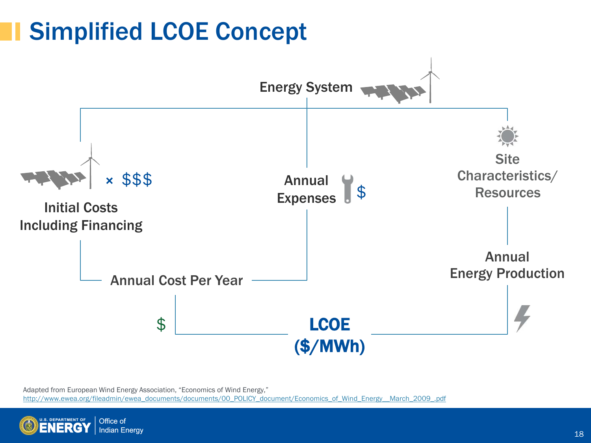## Simplified LCOE Concept



Adapted from European Wind Energy Association, "Economics of Wind Energy," [http://www.ewea.org/fileadmin/ewea\\_documents/documents/00\\_POLICY\\_document/Economics\\_of\\_Wind\\_Energy\\_\\_March\\_2009\\_.pdf](http://www.ewea.org/fileadmin/ewea_documents/documents/00_POLICY_document/Economics_of_Wind_Energy__March_2009_.pdf)